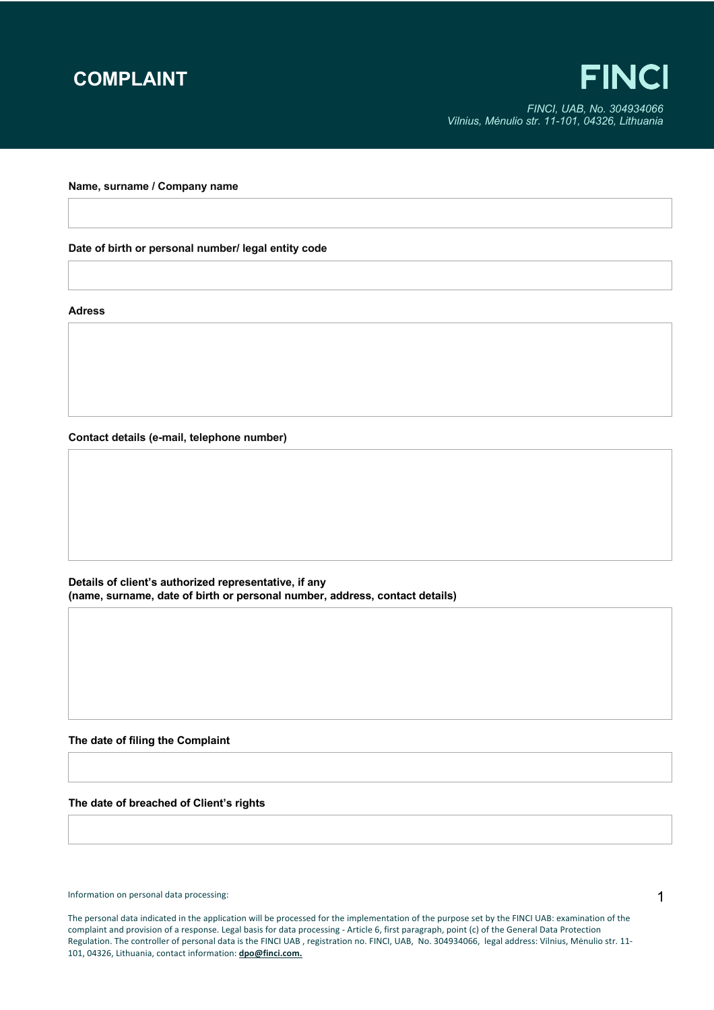

## **FINCI**

*FINCI, UAB, No. 304934066 Vilnius, Mėnulio str. 11-101, 04326, Lithuania*

**Name, surname / Company name**

**Date of birth or personal number/ legal entity code**

**Adress**

**Contact details (e-mail, telephone number)**

**Details of client's authorized representative, if any (name, surname, date of birth or personal number, address, contact details)**

**The date of filing the Complaint**

**The date of breached of Client's rights**

Information on personal data processing:

The personal data indicated in the application will be processed for the implementation of the purpose set by the FINCI UAB: examination of the complaint and provision of a response. Legal basis for data processing - Article 6, first paragraph, point (c) of the General Data Protection Regulation. The controller of personal data is the FINCI UAB , registration no. FINCI, UAB, No. 304934066, legal address: Vilnius, Mėnulio str. 11- 101, 04326, Lithuania, contact information: **dpo@finci.com.**